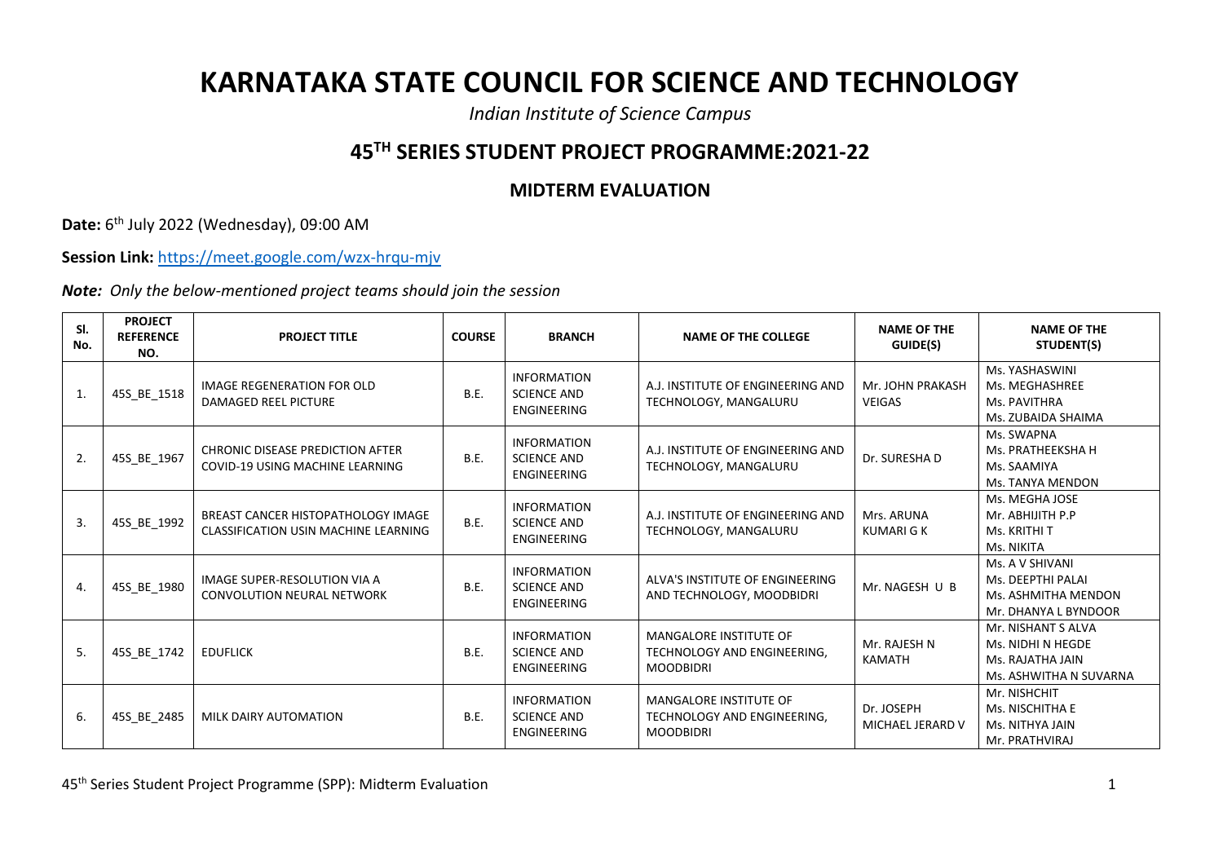## **KARNATAKA STATE COUNCIL FOR SCIENCE AND TECHNOLOGY**

*Indian Institute of Science Campus*

## **45TH SERIES STUDENT PROJECT PROGRAMME:2021-22**

## **MIDTERM EVALUATION**

**Date:** 6<sup>th</sup> July 2022 (Wednesday), 09:00 AM

**Session Link:** <https://meet.google.com/wzx-hrqu-mjv>

*Note: Only the below-mentioned project teams should join the session*

| SI.<br>No. | <b>PROJECT</b><br><b>REFERENCE</b><br>NO. | <b>PROJECT TITLE</b>                                                       | <b>COURSE</b> | <b>BRANCH</b>                                                  | <b>NAME OF THE COLLEGE</b>                                                       | <b>NAME OF THE</b><br>GUIDE(S)    | <b>NAME OF THE</b><br>STUDENT(S)                                                      |
|------------|-------------------------------------------|----------------------------------------------------------------------------|---------------|----------------------------------------------------------------|----------------------------------------------------------------------------------|-----------------------------------|---------------------------------------------------------------------------------------|
| 1.         | 45S BE 1518                               | IMAGE REGENERATION FOR OLD<br>DAMAGED REEL PICTURE                         | B.E.          | <b>INFORMATION</b><br><b>SCIENCE AND</b><br><b>ENGINEERING</b> | A.J. INSTITUTE OF ENGINEERING AND<br>TECHNOLOGY, MANGALURU                       | Mr. JOHN PRAKASH<br><b>VEIGAS</b> | Ms. YASHASWINI<br>Ms. MEGHASHREE<br>Ms. PAVITHRA<br>Ms. ZUBAIDA SHAIMA                |
| 2.         | 45S_BE_1967                               | <b>CHRONIC DISEASE PREDICTION AFTER</b><br>COVID-19 USING MACHINE LEARNING | <b>B.E.</b>   | <b>INFORMATION</b><br><b>SCIENCE AND</b><br><b>ENGINEERING</b> | A.J. INSTITUTE OF ENGINEERING AND<br>TECHNOLOGY, MANGALURU                       | Dr. SURESHA D                     | Ms. SWAPNA<br>Ms. PRATHEEKSHA H<br>Ms. SAAMIYA<br>Ms. TANYA MENDON                    |
| 3.         | 45S_BE_1992                               | BREAST CANCER HISTOPATHOLOGY IMAGE<br>CLASSIFICATION USIN MACHINE LEARNING | B.E.          | <b>INFORMATION</b><br><b>SCIENCE AND</b><br><b>ENGINEERING</b> | A.J. INSTITUTE OF ENGINEERING AND<br>TECHNOLOGY, MANGALURU                       | Mrs. ARUNA<br><b>KUMARI G K</b>   | Ms. MEGHA JOSE<br>Mr. ABHIJITH P.P<br>Ms. KRITHI T<br>Ms. NIKITA                      |
| 4.         | 45S_BE_1980                               | IMAGE SUPER-RESOLUTION VIA A<br><b>CONVOLUTION NEURAL NETWORK</b>          | B.E.          | <b>INFORMATION</b><br><b>SCIENCE AND</b><br><b>ENGINEERING</b> | ALVA'S INSTITUTE OF ENGINEERING<br>AND TECHNOLOGY, MOODBIDRI                     | Mr. NAGESH U B                    | Ms. A V SHIVANI<br>Ms. DEEPTHI PALAI<br>Ms. ASHMITHA MENDON<br>Mr. DHANYA L BYNDOOR   |
| 5.         | 45S_BE_1742                               | <b>EDUFLICK</b>                                                            | <b>B.E.</b>   | <b>INFORMATION</b><br><b>SCIENCE AND</b><br><b>ENGINEERING</b> | <b>MANGALORE INSTITUTE OF</b><br>TECHNOLOGY AND ENGINEERING,<br><b>MOODBIDRI</b> | Mr. RAJESH N<br><b>KAMATH</b>     | Mr. NISHANT S ALVA<br>Ms. NIDHI N HEGDE<br>Ms. RAJATHA JAIN<br>Ms. ASHWITHA N SUVARNA |
| 6.         | 45S_BE_2485                               | MILK DAIRY AUTOMATION                                                      | <b>B.E.</b>   | <b>INFORMATION</b><br><b>SCIENCE AND</b><br><b>ENGINEERING</b> | <b>MANGALORE INSTITUTE OF</b><br>TECHNOLOGY AND ENGINEERING,<br><b>MOODBIDRI</b> | Dr. JOSEPH<br>MICHAEL JERARD V    | Mr. NISHCHIT<br>Ms. NISCHITHA E<br>Ms. NITHYA JAIN<br>Mr. PRATHVIRAJ                  |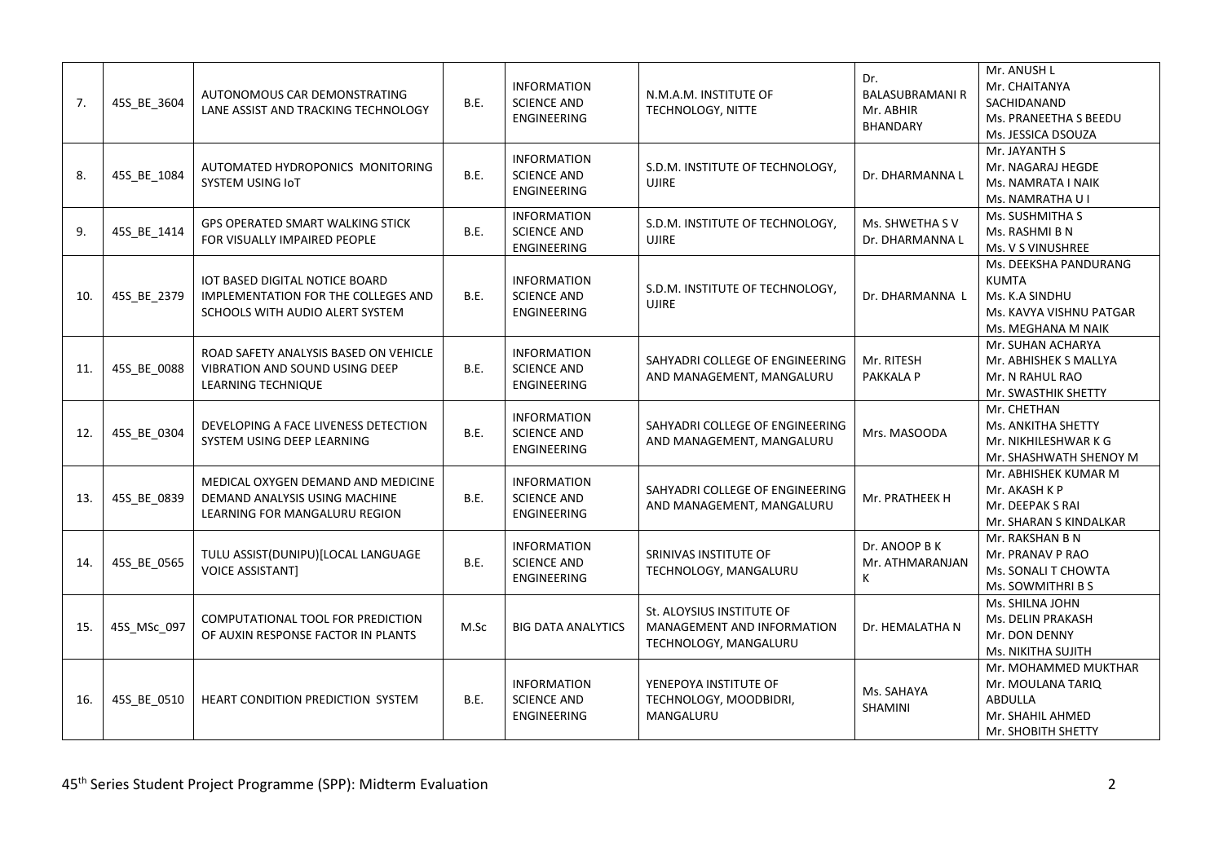| 7.  | 45S_BE_3604 | AUTONOMOUS CAR DEMONSTRATING<br>LANE ASSIST AND TRACKING TECHNOLOGY                                         | B.E.        | <b>INFORMATION</b><br><b>SCIENCE AND</b><br><b>ENGINEERING</b> | N.M.A.M. INSTITUTE OF<br>TECHNOLOGY, NITTE                                       | Dr.<br><b>BALASUBRAMANI R</b><br>Mr. ABHIR<br>BHANDARY | Mr. ANUSH L<br>Mr. CHAITANYA<br>SACHIDANAND<br>Ms. PRANEETHA S BEEDU<br>Ms. JESSICA DSOUZA               |
|-----|-------------|-------------------------------------------------------------------------------------------------------------|-------------|----------------------------------------------------------------|----------------------------------------------------------------------------------|--------------------------------------------------------|----------------------------------------------------------------------------------------------------------|
| 8.  | 45S_BE_1084 | AUTOMATED HYDROPONICS MONITORING<br>SYSTEM USING IoT                                                        | B.E.        | <b>INFORMATION</b><br><b>SCIENCE AND</b><br><b>ENGINEERING</b> | S.D.M. INSTITUTE OF TECHNOLOGY,<br><b>UJIRE</b>                                  | Dr. DHARMANNA L                                        | Mr. JAYANTH S<br>Mr. NAGARAJ HEGDE<br>Ms. NAMRATA I NAIK<br>Ms. NAMRATHA U I                             |
| 9.  | 45S_BE_1414 | <b>GPS OPERATED SMART WALKING STICK</b><br>FOR VISUALLY IMPAIRED PEOPLE                                     | B.E.        | <b>INFORMATION</b><br><b>SCIENCE AND</b><br><b>ENGINEERING</b> | S.D.M. INSTITUTE OF TECHNOLOGY,<br><b>UJIRE</b>                                  | Ms. SHWETHA SV<br>Dr. DHARMANNA L                      | Ms. SUSHMITHA S<br>Ms. RASHMI B N<br>Ms. V S VINUSHREE                                                   |
| 10. | 45S_BE_2379 | IOT BASED DIGITAL NOTICE BOARD<br>IMPLEMENTATION FOR THE COLLEGES AND<br>SCHOOLS WITH AUDIO ALERT SYSTEM    | B.E.        | <b>INFORMATION</b><br><b>SCIENCE AND</b><br><b>ENGINEERING</b> | S.D.M. INSTITUTE OF TECHNOLOGY,<br><b>UJIRE</b>                                  | Dr. DHARMANNA L                                        | Ms. DEEKSHA PANDURANG<br><b>KUMTA</b><br>Ms. K.A SINDHU<br>Ms. KAVYA VISHNU PATGAR<br>Ms. MEGHANA M NAIK |
| 11. | 45S BE 0088 | ROAD SAFETY ANALYSIS BASED ON VEHICLE<br><b>VIBRATION AND SOUND USING DEEP</b><br><b>LEARNING TECHNIQUE</b> | B.E.        | <b>INFORMATION</b><br><b>SCIENCE AND</b><br><b>ENGINEERING</b> | SAHYADRI COLLEGE OF ENGINEERING<br>AND MANAGEMENT, MANGALURU                     | Mr. RITESH<br>PAKKALA P                                | Mr. SUHAN ACHARYA<br>Mr. ABHISHEK S MALLYA<br>Mr. N RAHUL RAO<br>Mr. SWASTHIK SHETTY                     |
| 12. | 45S_BE_0304 | DEVELOPING A FACE LIVENESS DETECTION<br>SYSTEM USING DEEP LEARNING                                          | B.E.        | <b>INFORMATION</b><br><b>SCIENCE AND</b><br><b>ENGINEERING</b> | SAHYADRI COLLEGE OF ENGINEERING<br>AND MANAGEMENT, MANGALURU                     | Mrs. MASOODA                                           | Mr. CHETHAN<br>Ms. ANKITHA SHETTY<br>Mr. NIKHILESHWAR K G<br>Mr. SHASHWATH SHENOY M                      |
| 13. | 45S_BE_0839 | MEDICAL OXYGEN DEMAND AND MEDICINE<br>DEMAND ANALYSIS USING MACHINE<br>LEARNING FOR MANGALURU REGION        | <b>B.E.</b> | <b>INFORMATION</b><br><b>SCIENCE AND</b><br><b>ENGINEERING</b> | SAHYADRI COLLEGE OF ENGINEERING<br>AND MANAGEMENT, MANGALURU                     | Mr. PRATHEEK H                                         | Mr. ABHISHEK KUMAR M<br>Mr. AKASH K P<br>Mr. DEEPAK S RAI<br>Mr. SHARAN S KINDALKAR                      |
| 14. | 45S BE 0565 | TULU ASSIST(DUNIPU)[LOCAL LANGUAGE<br><b>VOICE ASSISTANT]</b>                                               | B.E.        | <b>INFORMATION</b><br><b>SCIENCE AND</b><br>ENGINEERING        | SRINIVAS INSTITUTE OF<br>TECHNOLOGY, MANGALURU                                   | Dr. ANOOP B K<br>Mr. ATHMARANJAN<br>K                  | Mr. RAKSHAN B N<br>Mr. PRANAV P RAO<br>Ms. SONALI T CHOWTA<br>Ms. SOWMITHRI B S                          |
| 15. | 45S_MSc_097 | COMPUTATIONAL TOOL FOR PREDICTION<br>OF AUXIN RESPONSE FACTOR IN PLANTS                                     | M.Sc        | <b>BIG DATA ANALYTICS</b>                                      | St. ALOYSIUS INSTITUTE OF<br>MANAGEMENT AND INFORMATION<br>TECHNOLOGY, MANGALURU | Dr. HEMALATHA N                                        | Ms. SHILNA JOHN<br>Ms. DELIN PRAKASH<br>Mr. DON DENNY<br>Ms. NIKITHA SUJITH                              |
| 16. | 45S_BE_0510 | HEART CONDITION PREDICTION SYSTEM                                                                           | B.E.        | <b>INFORMATION</b><br><b>SCIENCE AND</b><br><b>ENGINEERING</b> | YENEPOYA INSTITUTE OF<br>TECHNOLOGY, MOODBIDRI,<br>MANGALURU                     | Ms. SAHAYA<br><b>SHAMINI</b>                           | Mr. MOHAMMED MUKTHAR<br>Mr. MOULANA TARIQ<br><b>ABDULLA</b><br>Mr. SHAHIL AHMED<br>Mr. SHOBITH SHETTY    |